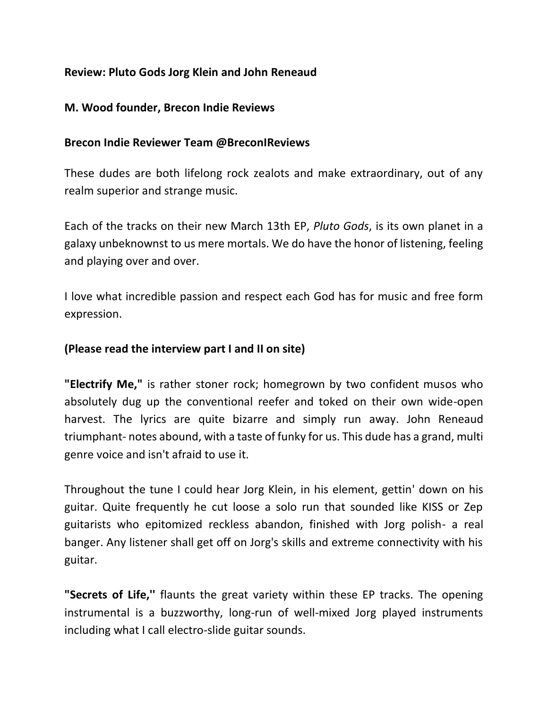# **Review: Pluto Gods Jorg Klein and John Reneaud**

### **M. Wood founder, Brecon Indie Reviews**

#### **Brecon Indie Reviewer Team @BreconIReviews**

These dudes are both lifelong rock zealots and make extraordinary, out of any realm superior and strange music.

Each of the tracks on their new March 13th EP, *Pluto Gods*, is its own planet in a galaxy unbeknownst to us mere mortals. We do have the honor of listening, feeling and playing over and over.

I love what incredible passion and respect each God has for music and free form expression.

## **(Please read the interview part I and II on site)**

**"Electrify Me,"** is rather stoner rock; homegrown by two confident musos who absolutely dug up the conventional reefer and toked on their own wide-open harvest. The lyrics are quite bizarre and simply run away. John Reneaud triumphant- notes abound, with a taste of funky for us. This dude has a grand, multi genre voice and isn't afraid to use it.

Throughout the tune I could hear Jorg Klein, in his element, gettin' down on his guitar. Quite frequently he cut loose a solo run that sounded like KISS or Zep guitarists who epitomized reckless abandon, finished with Jorg polish- a real banger. Any listener shall get off on Jorg's skills and extreme connectivity with his guitar.

**"Secrets of Life,''** flaunts the great variety within these EP tracks. The opening instrumental is a buzzworthy, long-run of well-mixed Jorg played instruments including what I call electro-slide guitar sounds.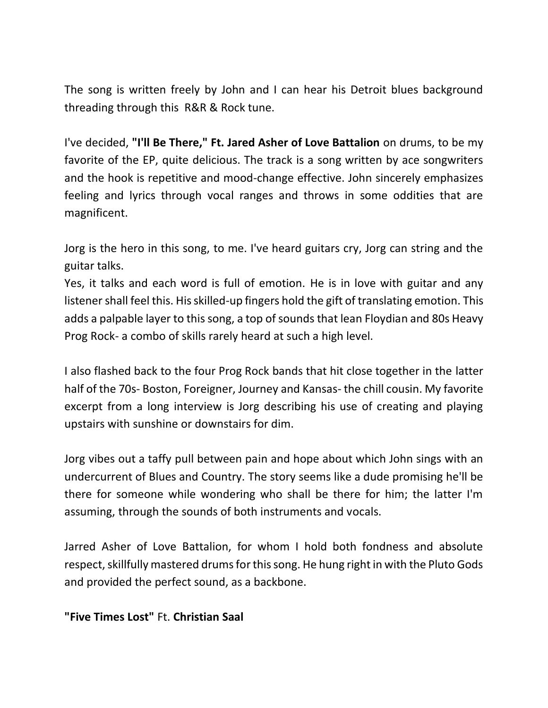The song is written freely by John and I can hear his Detroit blues background threading through this R&R & Rock tune.

I've decided, **"I'll Be There," Ft. Jared Asher of Love Battalion** on drums, to be my favorite of the EP, quite delicious. The track is a song written by ace songwriters and the hook is repetitive and mood-change effective. John sincerely emphasizes feeling and lyrics through vocal ranges and throws in some oddities that are magnificent.

Jorg is the hero in this song, to me. I've heard guitars cry, Jorg can string and the guitar talks.

Yes, it talks and each word is full of emotion. He is in love with guitar and any listener shall feel this. His skilled-up fingers hold the gift of translating emotion. This adds a palpable layer to this song, a top of sounds that lean Floydian and 80s Heavy Prog Rock- a combo of skills rarely heard at such a high level.

I also flashed back to the four Prog Rock bands that hit close together in the latter half of the 70s- Boston, Foreigner, Journey and Kansas- the chill cousin. My favorite excerpt from a long interview is Jorg describing his use of creating and playing upstairs with sunshine or downstairs for dim.

Jorg vibes out a taffy pull between pain and hope about which John sings with an undercurrent of Blues and Country. The story seems like a dude promising he'll be there for someone while wondering who shall be there for him; the latter I'm assuming, through the sounds of both instruments and vocals.

Jarred Asher of Love Battalion, for whom I hold both fondness and absolute respect, skillfully mastered drums for this song. He hung right in with the Pluto Gods and provided the perfect sound, as a backbone.

#### **"Five Times Lost"** Ft. **Christian Saal**